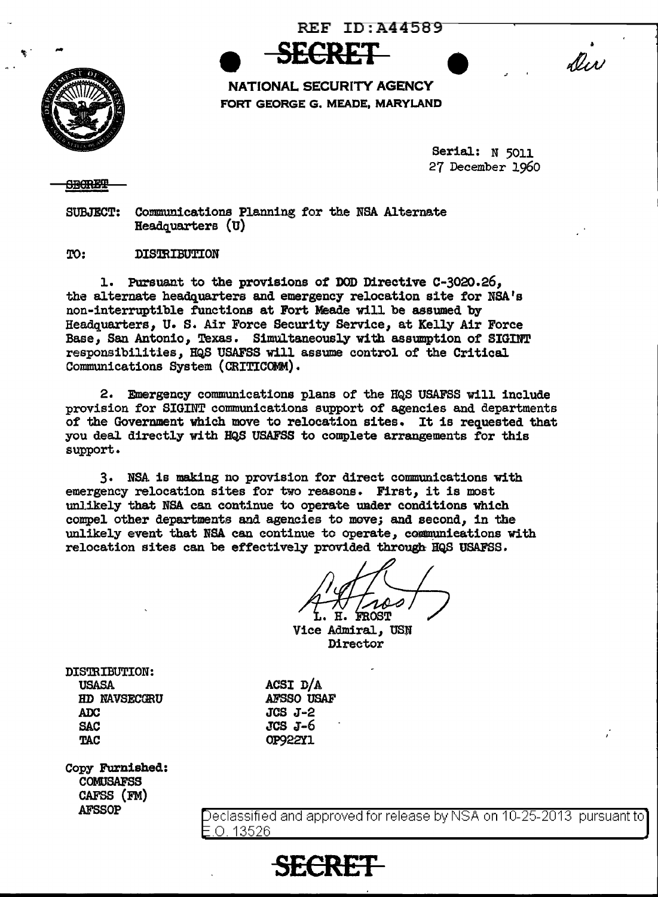REF  $ID: A44589$ 





**NATIONAL SECURITY AGENCY** FORT GEORGE G. MEADE, MARYLAND

**SECRET** 

Serial: N 5011 27 December 1960

## <del>SBORET</del>

SUBJECT: Communications Planning for the NSA Alternate  $Head quarters (U)$ 

TO: DISTRIBUTION

1. Pursuant to the provisions of DOD Directive C-3020.26,, the alternate headquarters and emergency relocation site for NSA's non-interruptible functions at Fort Meade will be assumed by Headquarters, U. S. Air Force Security Service, at Kelly Air Force Base, San Antonio, Texas. Simultaneously with assumption of SIGINT responsibilities, HQS USAFSS will assume control of the Critical Communications System (CRITICOMM).

2. Emergency communications plans of the HQS USAFSS will include provision for SIGINT communications support of agencies and departments of the Government which move to relocation sites. It is requested that you deal. directly with HQS USAFSS to complete arrangements for this support.

3. NSA is making no provision for direct communications with emergency relocation sites for two reasons. First, it is most unlikely that NSA can continue to operate under conditions which compel other departments and agencies to move; and second, in the unlikely event that NSA can continue to operate, communications with relocation sites can be effectively provided through HQS USAFSS.

Η. **FROST** 

Vice Admiral, USN Director

DISTRIBUTION: USASA HD NAVSECGRU ADC SAC **TAC** 

ACSI D/A AFSSO USAF JCS J-2 JCS J-6 OP922Yl

Copy Furnished: COMUSAFSS CAFSS (FM} AFSSOP

eclassifi ed and approved for release by NSA on 10-25-2013 pursuant to .0. 13526